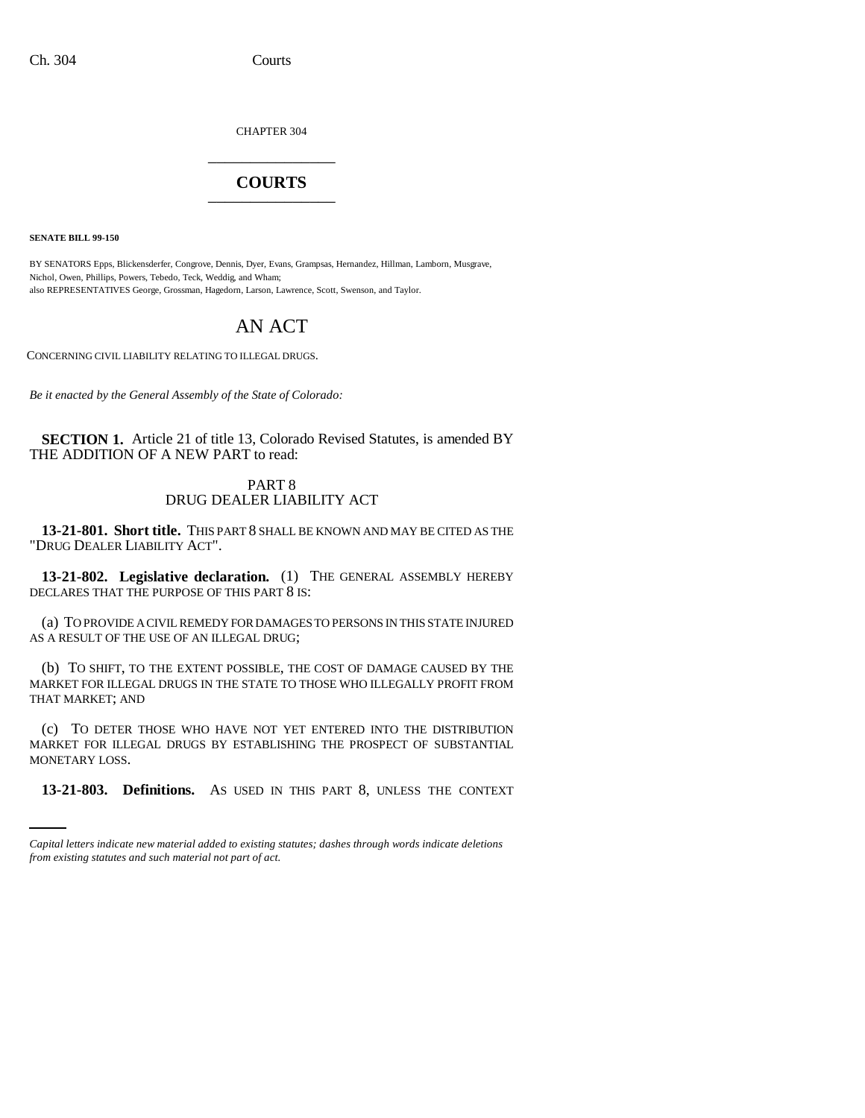CHAPTER 304 \_\_\_\_\_\_\_\_\_\_\_\_\_\_\_

## **COURTS** \_\_\_\_\_\_\_\_\_\_\_\_\_\_\_

**SENATE BILL 99-150** 

BY SENATORS Epps, Blickensderfer, Congrove, Dennis, Dyer, Evans, Grampsas, Hernandez, Hillman, Lamborn, Musgrave, Nichol, Owen, Phillips, Powers, Tebedo, Teck, Weddig, and Wham; also REPRESENTATIVES George, Grossman, Hagedorn, Larson, Lawrence, Scott, Swenson, and Taylor.

# AN ACT

CONCERNING CIVIL LIABILITY RELATING TO ILLEGAL DRUGS.

*Be it enacted by the General Assembly of the State of Colorado:*

**SECTION 1.** Article 21 of title 13, Colorado Revised Statutes, is amended BY THE ADDITION OF A NEW PART to read:

### PART 8 DRUG DEALER LIABILITY ACT

**13-21-801. Short title.** THIS PART 8 SHALL BE KNOWN AND MAY BE CITED AS THE "DRUG DEALER LIABILITY ACT".

**13-21-802. Legislative declaration.** (1) THE GENERAL ASSEMBLY HEREBY DECLARES THAT THE PURPOSE OF THIS PART 8 IS:

(a) TO PROVIDE A CIVIL REMEDY FOR DAMAGES TO PERSONS IN THIS STATE INJURED AS A RESULT OF THE USE OF AN ILLEGAL DRUG;

(b) TO SHIFT, TO THE EXTENT POSSIBLE, THE COST OF DAMAGE CAUSED BY THE MARKET FOR ILLEGAL DRUGS IN THE STATE TO THOSE WHO ILLEGALLY PROFIT FROM THAT MARKET; AND

MAKKET TOK HE (c) TO DETER THOSE WHO HAVE NOT YET ENTERED INTO THE DISTRIBUTION MARKET FOR ILLEGAL DRUGS BY ESTABLISHING THE PROSPECT OF SUBSTANTIAL

**13-21-803. Definitions.** AS USED IN THIS PART 8, UNLESS THE CONTEXT

*Capital letters indicate new material added to existing statutes; dashes through words indicate deletions from existing statutes and such material not part of act.*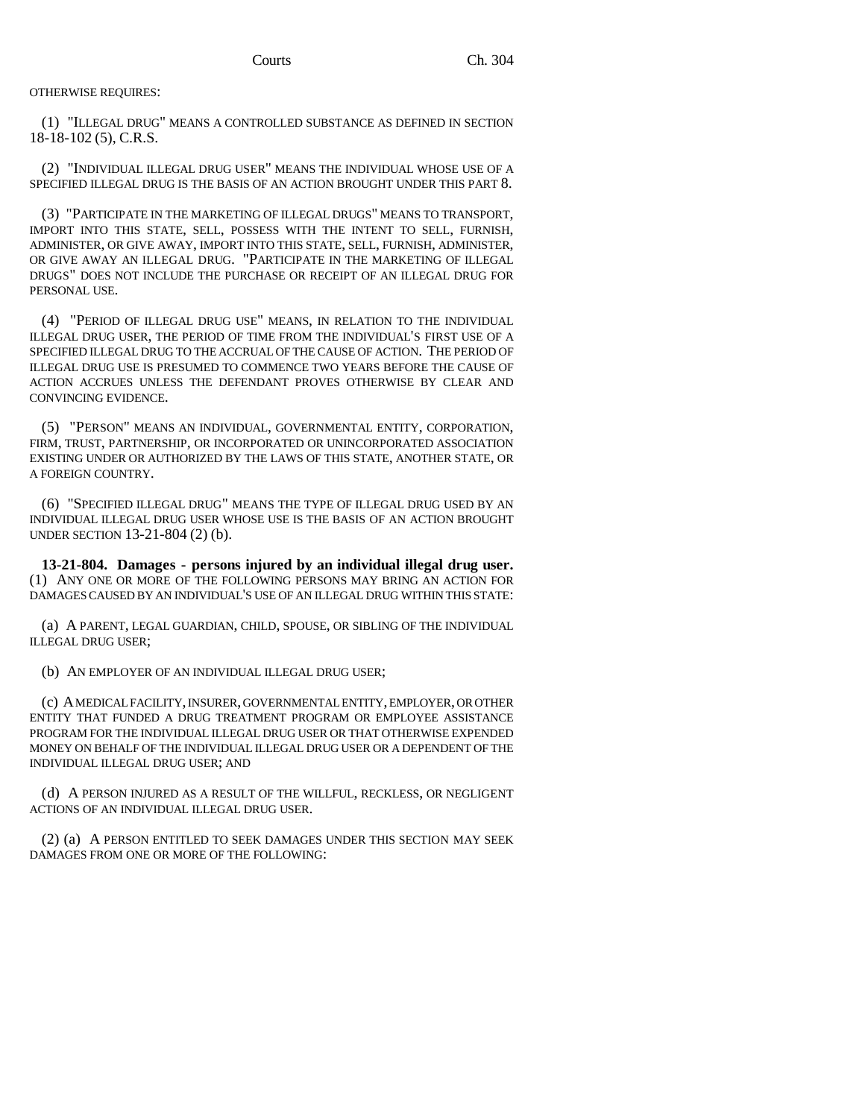OTHERWISE REQUIRES:

(1) "ILLEGAL DRUG" MEANS A CONTROLLED SUBSTANCE AS DEFINED IN SECTION 18-18-102 (5), C.R.S.

(2) "INDIVIDUAL ILLEGAL DRUG USER" MEANS THE INDIVIDUAL WHOSE USE OF A SPECIFIED ILLEGAL DRUG IS THE BASIS OF AN ACTION BROUGHT UNDER THIS PART 8.

(3) "PARTICIPATE IN THE MARKETING OF ILLEGAL DRUGS" MEANS TO TRANSPORT, IMPORT INTO THIS STATE, SELL, POSSESS WITH THE INTENT TO SELL, FURNISH, ADMINISTER, OR GIVE AWAY, IMPORT INTO THIS STATE, SELL, FURNISH, ADMINISTER, OR GIVE AWAY AN ILLEGAL DRUG. "PARTICIPATE IN THE MARKETING OF ILLEGAL DRUGS" DOES NOT INCLUDE THE PURCHASE OR RECEIPT OF AN ILLEGAL DRUG FOR PERSONAL USE.

(4) "PERIOD OF ILLEGAL DRUG USE" MEANS, IN RELATION TO THE INDIVIDUAL ILLEGAL DRUG USER, THE PERIOD OF TIME FROM THE INDIVIDUAL'S FIRST USE OF A SPECIFIED ILLEGAL DRUG TO THE ACCRUAL OF THE CAUSE OF ACTION. THE PERIOD OF ILLEGAL DRUG USE IS PRESUMED TO COMMENCE TWO YEARS BEFORE THE CAUSE OF ACTION ACCRUES UNLESS THE DEFENDANT PROVES OTHERWISE BY CLEAR AND CONVINCING EVIDENCE.

(5) "PERSON" MEANS AN INDIVIDUAL, GOVERNMENTAL ENTITY, CORPORATION, FIRM, TRUST, PARTNERSHIP, OR INCORPORATED OR UNINCORPORATED ASSOCIATION EXISTING UNDER OR AUTHORIZED BY THE LAWS OF THIS STATE, ANOTHER STATE, OR A FOREIGN COUNTRY.

(6) "SPECIFIED ILLEGAL DRUG" MEANS THE TYPE OF ILLEGAL DRUG USED BY AN INDIVIDUAL ILLEGAL DRUG USER WHOSE USE IS THE BASIS OF AN ACTION BROUGHT UNDER SECTION 13-21-804 (2) (b).

**13-21-804. Damages - persons injured by an individual illegal drug user.** (1) ANY ONE OR MORE OF THE FOLLOWING PERSONS MAY BRING AN ACTION FOR DAMAGES CAUSED BY AN INDIVIDUAL'S USE OF AN ILLEGAL DRUG WITHIN THIS STATE:

(a) A PARENT, LEGAL GUARDIAN, CHILD, SPOUSE, OR SIBLING OF THE INDIVIDUAL ILLEGAL DRUG USER;

(b) AN EMPLOYER OF AN INDIVIDUAL ILLEGAL DRUG USER;

(c) A MEDICAL FACILITY, INSURER, GOVERNMENTAL ENTITY, EMPLOYER, OR OTHER ENTITY THAT FUNDED A DRUG TREATMENT PROGRAM OR EMPLOYEE ASSISTANCE PROGRAM FOR THE INDIVIDUAL ILLEGAL DRUG USER OR THAT OTHERWISE EXPENDED MONEY ON BEHALF OF THE INDIVIDUAL ILLEGAL DRUG USER OR A DEPENDENT OF THE INDIVIDUAL ILLEGAL DRUG USER; AND

(d) A PERSON INJURED AS A RESULT OF THE WILLFUL, RECKLESS, OR NEGLIGENT ACTIONS OF AN INDIVIDUAL ILLEGAL DRUG USER.

(2) (a) A PERSON ENTITLED TO SEEK DAMAGES UNDER THIS SECTION MAY SEEK DAMAGES FROM ONE OR MORE OF THE FOLLOWING: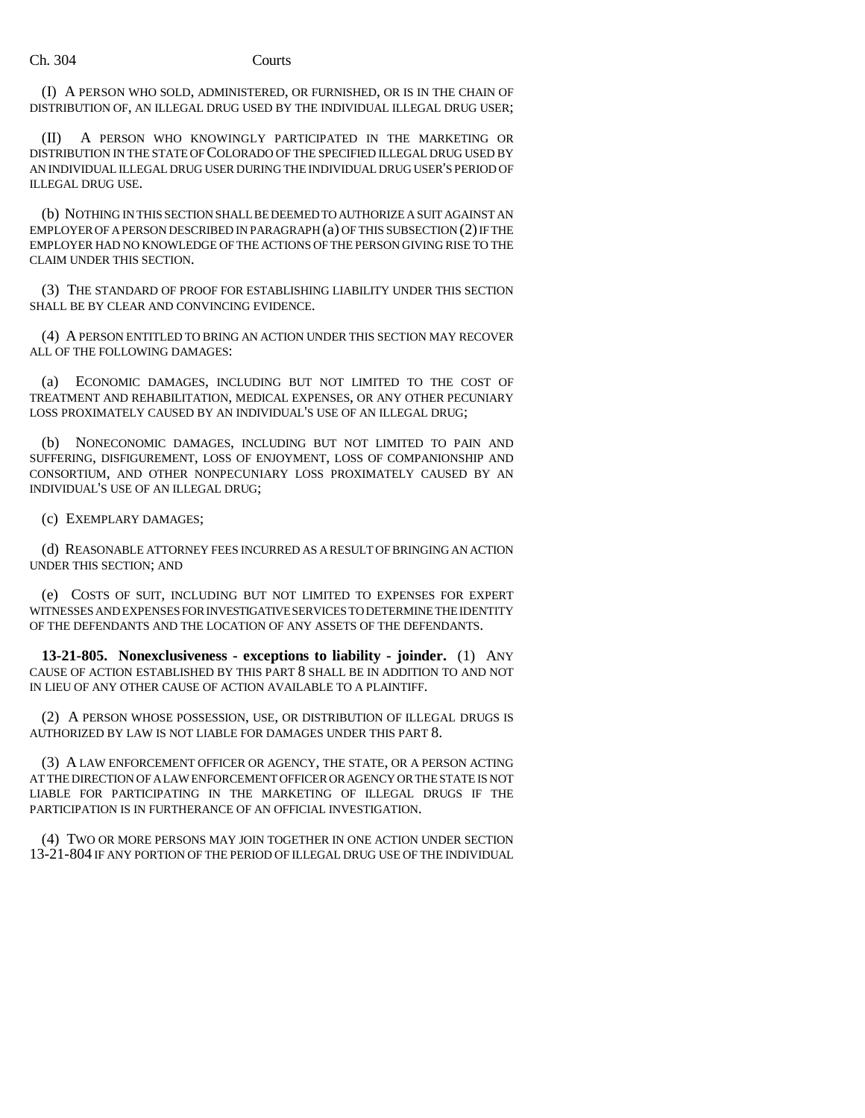(I) A PERSON WHO SOLD, ADMINISTERED, OR FURNISHED, OR IS IN THE CHAIN OF DISTRIBUTION OF, AN ILLEGAL DRUG USED BY THE INDIVIDUAL ILLEGAL DRUG USER;

(II) A PERSON WHO KNOWINGLY PARTICIPATED IN THE MARKETING OR DISTRIBUTION IN THE STATE OF COLORADO OF THE SPECIFIED ILLEGAL DRUG USED BY AN INDIVIDUAL ILLEGAL DRUG USER DURING THE INDIVIDUAL DRUG USER'S PERIOD OF ILLEGAL DRUG USE.

(b) NOTHING IN THIS SECTION SHALL BE DEEMED TO AUTHORIZE A SUIT AGAINST AN EMPLOYER OF A PERSON DESCRIBED IN PARAGRAPH (a) OF THIS SUBSECTION (2) IF THE EMPLOYER HAD NO KNOWLEDGE OF THE ACTIONS OF THE PERSON GIVING RISE TO THE CLAIM UNDER THIS SECTION.

(3) THE STANDARD OF PROOF FOR ESTABLISHING LIABILITY UNDER THIS SECTION SHALL BE BY CLEAR AND CONVINCING EVIDENCE.

(4) A PERSON ENTITLED TO BRING AN ACTION UNDER THIS SECTION MAY RECOVER ALL OF THE FOLLOWING DAMAGES:

(a) ECONOMIC DAMAGES, INCLUDING BUT NOT LIMITED TO THE COST OF TREATMENT AND REHABILITATION, MEDICAL EXPENSES, OR ANY OTHER PECUNIARY LOSS PROXIMATELY CAUSED BY AN INDIVIDUAL'S USE OF AN ILLEGAL DRUG;

NONECONOMIC DAMAGES, INCLUDING BUT NOT LIMITED TO PAIN AND SUFFERING, DISFIGUREMENT, LOSS OF ENJOYMENT, LOSS OF COMPANIONSHIP AND CONSORTIUM, AND OTHER NONPECUNIARY LOSS PROXIMATELY CAUSED BY AN INDIVIDUAL'S USE OF AN ILLEGAL DRUG;

(c) EXEMPLARY DAMAGES;

(d) REASONABLE ATTORNEY FEES INCURRED AS A RESULT OF BRINGING AN ACTION UNDER THIS SECTION; AND

(e) COSTS OF SUIT, INCLUDING BUT NOT LIMITED TO EXPENSES FOR EXPERT WITNESSES AND EXPENSES FOR INVESTIGATIVE SERVICES TO DETERMINE THE IDENTITY OF THE DEFENDANTS AND THE LOCATION OF ANY ASSETS OF THE DEFENDANTS.

**13-21-805. Nonexclusiveness - exceptions to liability - joinder.** (1) ANY CAUSE OF ACTION ESTABLISHED BY THIS PART 8 SHALL BE IN ADDITION TO AND NOT IN LIEU OF ANY OTHER CAUSE OF ACTION AVAILABLE TO A PLAINTIFF.

(2) A PERSON WHOSE POSSESSION, USE, OR DISTRIBUTION OF ILLEGAL DRUGS IS AUTHORIZED BY LAW IS NOT LIABLE FOR DAMAGES UNDER THIS PART 8.

(3) A LAW ENFORCEMENT OFFICER OR AGENCY, THE STATE, OR A PERSON ACTING AT THE DIRECTION OF A LAW ENFORCEMENT OFFICER OR AGENCY OR THE STATE IS NOT LIABLE FOR PARTICIPATING IN THE MARKETING OF ILLEGAL DRUGS IF THE PARTICIPATION IS IN FURTHERANCE OF AN OFFICIAL INVESTIGATION.

(4) TWO OR MORE PERSONS MAY JOIN TOGETHER IN ONE ACTION UNDER SECTION 13-21-804 IF ANY PORTION OF THE PERIOD OF ILLEGAL DRUG USE OF THE INDIVIDUAL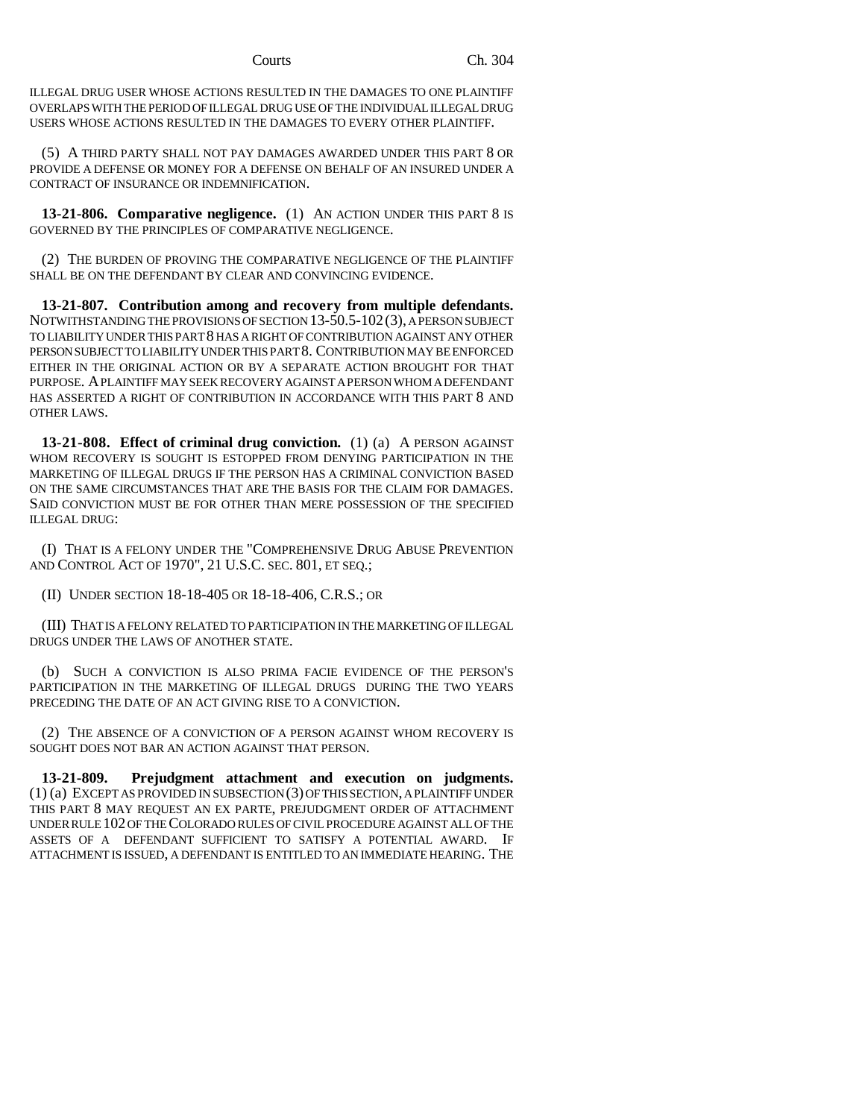ILLEGAL DRUG USER WHOSE ACTIONS RESULTED IN THE DAMAGES TO ONE PLAINTIFF OVERLAPS WITH THE PERIOD OF ILLEGAL DRUG USE OF THE INDIVIDUAL ILLEGAL DRUG USERS WHOSE ACTIONS RESULTED IN THE DAMAGES TO EVERY OTHER PLAINTIFF.

(5) A THIRD PARTY SHALL NOT PAY DAMAGES AWARDED UNDER THIS PART 8 OR PROVIDE A DEFENSE OR MONEY FOR A DEFENSE ON BEHALF OF AN INSURED UNDER A CONTRACT OF INSURANCE OR INDEMNIFICATION.

**13-21-806. Comparative negligence.** (1) AN ACTION UNDER THIS PART 8 IS GOVERNED BY THE PRINCIPLES OF COMPARATIVE NEGLIGENCE.

(2) THE BURDEN OF PROVING THE COMPARATIVE NEGLIGENCE OF THE PLAINTIFF SHALL BE ON THE DEFENDANT BY CLEAR AND CONVINCING EVIDENCE.

**13-21-807. Contribution among and recovery from multiple defendants.** NOTWITHSTANDING THE PROVISIONS OF SECTION 13-50.5-102(3), A PERSON SUBJECT TO LIABILITY UNDER THIS PART 8 HAS A RIGHT OF CONTRIBUTION AGAINST ANY OTHER PERSON SUBJECT TO LIABILITY UNDER THIS PART 8. CONTRIBUTION MAY BE ENFORCED EITHER IN THE ORIGINAL ACTION OR BY A SEPARATE ACTION BROUGHT FOR THAT PURPOSE. A PLAINTIFF MAY SEEK RECOVERY AGAINST A PERSON WHOM A DEFENDANT HAS ASSERTED A RIGHT OF CONTRIBUTION IN ACCORDANCE WITH THIS PART 8 AND OTHER LAWS.

**13-21-808. Effect of criminal drug conviction.** (1) (a) A PERSON AGAINST WHOM RECOVERY IS SOUGHT IS ESTOPPED FROM DENYING PARTICIPATION IN THE MARKETING OF ILLEGAL DRUGS IF THE PERSON HAS A CRIMINAL CONVICTION BASED ON THE SAME CIRCUMSTANCES THAT ARE THE BASIS FOR THE CLAIM FOR DAMAGES. SAID CONVICTION MUST BE FOR OTHER THAN MERE POSSESSION OF THE SPECIFIED ILLEGAL DRUG:

(I) THAT IS A FELONY UNDER THE "COMPREHENSIVE DRUG ABUSE PREVENTION AND CONTROL ACT OF 1970", 21 U.S.C. SEC. 801, ET SEQ.;

(II) UNDER SECTION 18-18-405 OR 18-18-406, C.R.S.; OR

(III) THAT IS A FELONY RELATED TO PARTICIPATION IN THE MARKETING OF ILLEGAL DRUGS UNDER THE LAWS OF ANOTHER STATE.

(b) SUCH A CONVICTION IS ALSO PRIMA FACIE EVIDENCE OF THE PERSON'S PARTICIPATION IN THE MARKETING OF ILLEGAL DRUGS DURING THE TWO YEARS PRECEDING THE DATE OF AN ACT GIVING RISE TO A CONVICTION.

(2) THE ABSENCE OF A CONVICTION OF A PERSON AGAINST WHOM RECOVERY IS SOUGHT DOES NOT BAR AN ACTION AGAINST THAT PERSON.

**13-21-809. Prejudgment attachment and execution on judgments.** (1) (a) EXCEPT AS PROVIDED IN SUBSECTION (3) OF THIS SECTION, A PLAINTIFF UNDER THIS PART 8 MAY REQUEST AN EX PARTE, PREJUDGMENT ORDER OF ATTACHMENT UNDER RULE 102 OF THE COLORADO RULES OF CIVIL PROCEDURE AGAINST ALL OF THE ASSETS OF A DEFENDANT SUFFICIENT TO SATISFY A POTENTIAL AWARD. IF ATTACHMENT IS ISSUED, A DEFENDANT IS ENTITLED TO AN IMMEDIATE HEARING. THE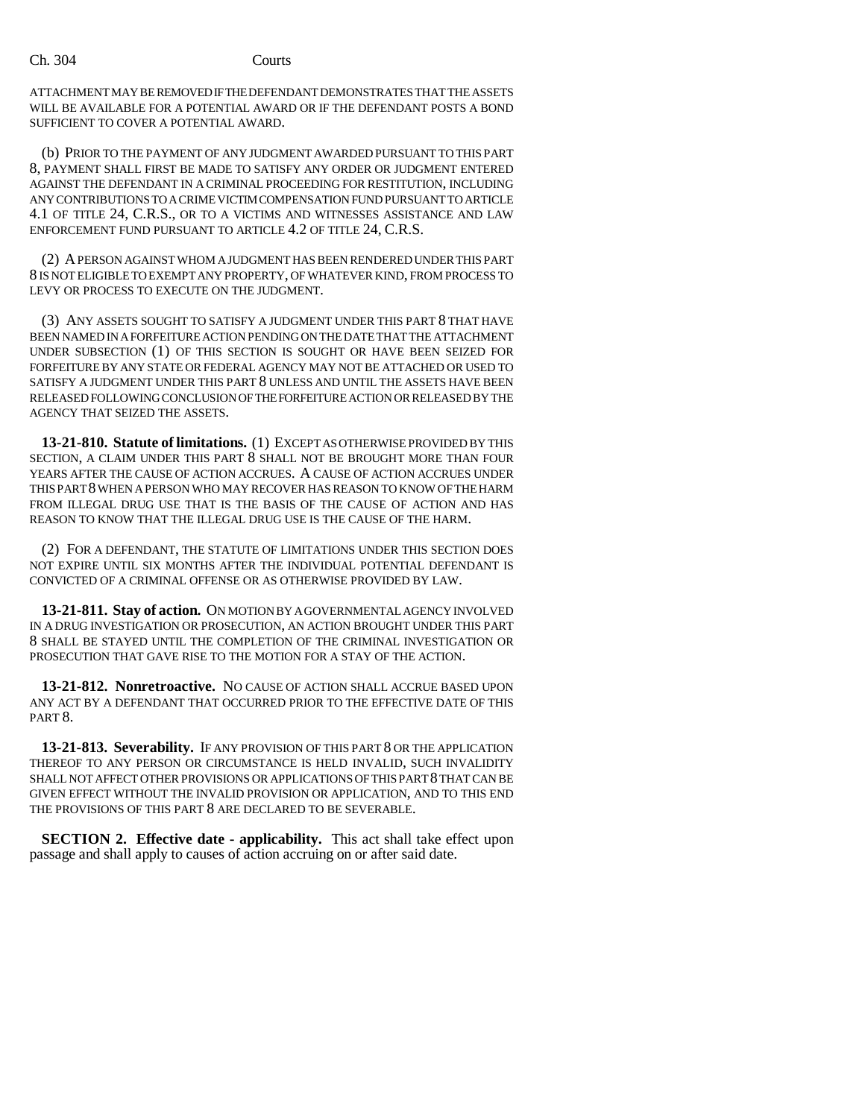Ch. 304 Courts

ATTACHMENT MAY BE REMOVED IF THE DEFENDANT DEMONSTRATES THAT THE ASSETS WILL BE AVAILABLE FOR A POTENTIAL AWARD OR IF THE DEFENDANT POSTS A BOND SUFFICIENT TO COVER A POTENTIAL AWARD.

(b) PRIOR TO THE PAYMENT OF ANY JUDGMENT AWARDED PURSUANT TO THIS PART 8, PAYMENT SHALL FIRST BE MADE TO SATISFY ANY ORDER OR JUDGMENT ENTERED AGAINST THE DEFENDANT IN A CRIMINAL PROCEEDING FOR RESTITUTION, INCLUDING ANY CONTRIBUTIONS TO A CRIME VICTIM COMPENSATION FUND PURSUANT TO ARTICLE 4.1 OF TITLE 24, C.R.S., OR TO A VICTIMS AND WITNESSES ASSISTANCE AND LAW ENFORCEMENT FUND PURSUANT TO ARTICLE 4.2 OF TITLE 24, C.R.S.

(2) A PERSON AGAINST WHOM A JUDGMENT HAS BEEN RENDERED UNDER THIS PART 8 IS NOT ELIGIBLE TO EXEMPT ANY PROPERTY, OF WHATEVER KIND, FROM PROCESS TO LEVY OR PROCESS TO EXECUTE ON THE JUDGMENT.

(3) ANY ASSETS SOUGHT TO SATISFY A JUDGMENT UNDER THIS PART 8 THAT HAVE BEEN NAMED IN A FORFEITURE ACTION PENDING ON THE DATE THAT THE ATTACHMENT UNDER SUBSECTION (1) OF THIS SECTION IS SOUGHT OR HAVE BEEN SEIZED FOR FORFEITURE BY ANY STATE OR FEDERAL AGENCY MAY NOT BE ATTACHED OR USED TO SATISFY A JUDGMENT UNDER THIS PART 8 UNLESS AND UNTIL THE ASSETS HAVE BEEN RELEASED FOLLOWING CONCLUSION OF THE FORFEITURE ACTION OR RELEASED BY THE AGENCY THAT SEIZED THE ASSETS.

**13-21-810. Statute of limitations.** (1) EXCEPT AS OTHERWISE PROVIDED BY THIS SECTION, A CLAIM UNDER THIS PART 8 SHALL NOT BE BROUGHT MORE THAN FOUR YEARS AFTER THE CAUSE OF ACTION ACCRUES. A CAUSE OF ACTION ACCRUES UNDER THIS PART 8 WHEN A PERSON WHO MAY RECOVER HAS REASON TO KNOW OF THE HARM FROM ILLEGAL DRUG USE THAT IS THE BASIS OF THE CAUSE OF ACTION AND HAS REASON TO KNOW THAT THE ILLEGAL DRUG USE IS THE CAUSE OF THE HARM.

(2) FOR A DEFENDANT, THE STATUTE OF LIMITATIONS UNDER THIS SECTION DOES NOT EXPIRE UNTIL SIX MONTHS AFTER THE INDIVIDUAL POTENTIAL DEFENDANT IS CONVICTED OF A CRIMINAL OFFENSE OR AS OTHERWISE PROVIDED BY LAW.

**13-21-811. Stay of action.** ON MOTION BY A GOVERNMENTAL AGENCY INVOLVED IN A DRUG INVESTIGATION OR PROSECUTION, AN ACTION BROUGHT UNDER THIS PART 8 SHALL BE STAYED UNTIL THE COMPLETION OF THE CRIMINAL INVESTIGATION OR PROSECUTION THAT GAVE RISE TO THE MOTION FOR A STAY OF THE ACTION.

**13-21-812. Nonretroactive.** NO CAUSE OF ACTION SHALL ACCRUE BASED UPON ANY ACT BY A DEFENDANT THAT OCCURRED PRIOR TO THE EFFECTIVE DATE OF THIS PART<sub>8</sub>.

**13-21-813. Severability.** IF ANY PROVISION OF THIS PART 8 OR THE APPLICATION THEREOF TO ANY PERSON OR CIRCUMSTANCE IS HELD INVALID, SUCH INVALIDITY SHALL NOT AFFECT OTHER PROVISIONS OR APPLICATIONS OF THIS PART 8 THAT CAN BE GIVEN EFFECT WITHOUT THE INVALID PROVISION OR APPLICATION, AND TO THIS END THE PROVISIONS OF THIS PART 8 ARE DECLARED TO BE SEVERABLE.

**SECTION 2. Effective date - applicability.** This act shall take effect upon passage and shall apply to causes of action accruing on or after said date.